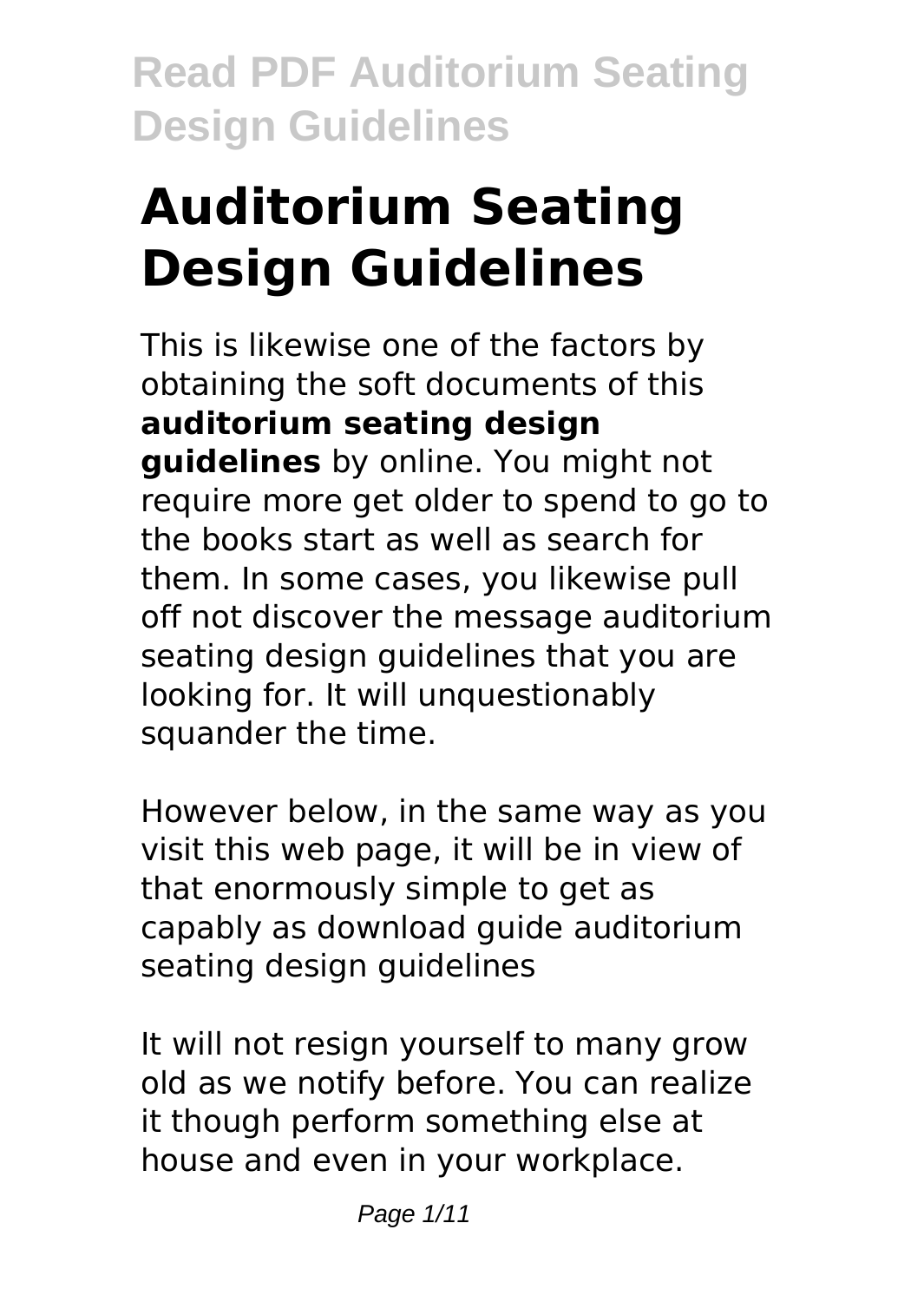# **Auditorium Seating Design Guidelines**

This is likewise one of the factors by obtaining the soft documents of this **auditorium seating design guidelines** by online. You might not require more get older to spend to go to the books start as well as search for them. In some cases, you likewise pull off not discover the message auditorium seating design guidelines that you are looking for. It will unquestionably squander the time.

However below, in the same way as you visit this web page, it will be in view of that enormously simple to get as capably as download guide auditorium seating design guidelines

It will not resign yourself to many grow old as we notify before. You can realize it though perform something else at house and even in your workplace.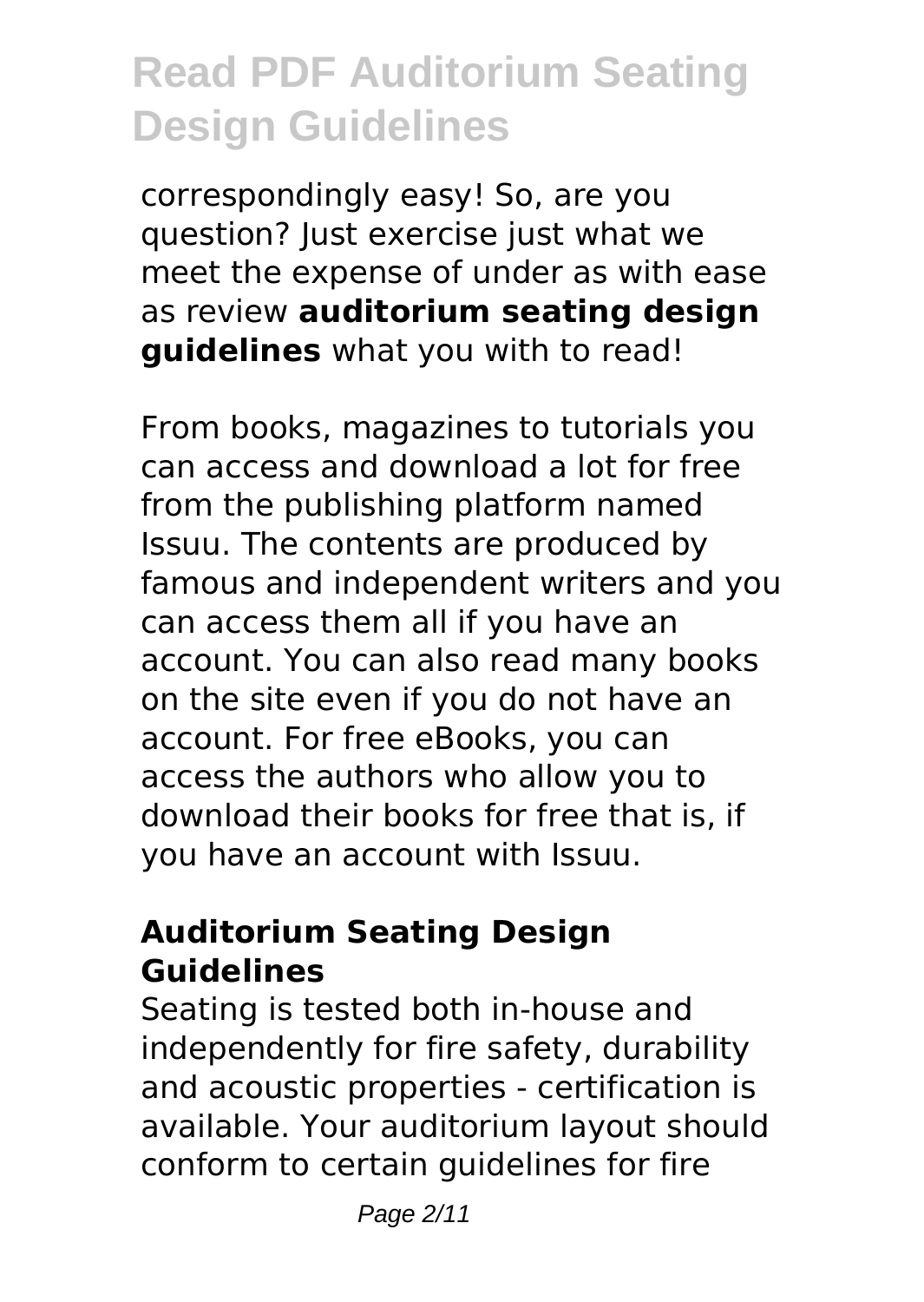correspondingly easy! So, are you question? Just exercise just what we meet the expense of under as with ease as review **auditorium seating design guidelines** what you with to read!

From books, magazines to tutorials you can access and download a lot for free from the publishing platform named Issuu. The contents are produced by famous and independent writers and you can access them all if you have an account. You can also read many books on the site even if you do not have an account. For free eBooks, you can access the authors who allow you to download their books for free that is, if you have an account with Issuu.

#### **Auditorium Seating Design Guidelines**

Seating is tested both in-house and independently for fire safety, durability and acoustic properties - certification is available. Your auditorium layout should conform to certain guidelines for fire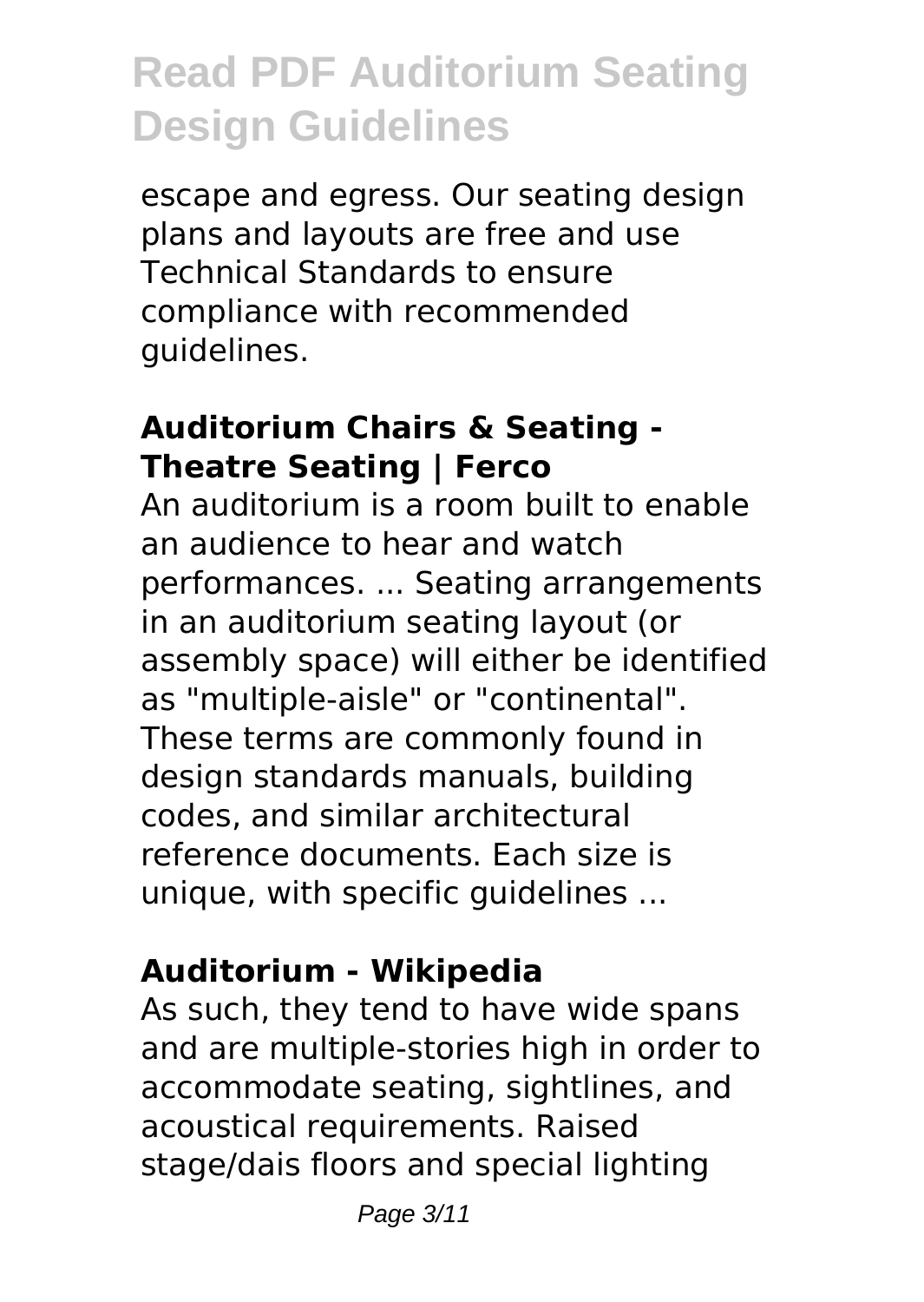escape and egress. Our seating design plans and layouts are free and use Technical Standards to ensure compliance with recommended guidelines.

#### **Auditorium Chairs & Seating - Theatre Seating | Ferco**

An auditorium is a room built to enable an audience to hear and watch performances. ... Seating arrangements in an auditorium seating layout (or assembly space) will either be identified as "multiple-aisle" or "continental". These terms are commonly found in design standards manuals, building codes, and similar architectural reference documents. Each size is unique, with specific guidelines ...

#### **Auditorium - Wikipedia**

As such, they tend to have wide spans and are multiple-stories high in order to accommodate seating, sightlines, and acoustical requirements. Raised stage/dais floors and special lighting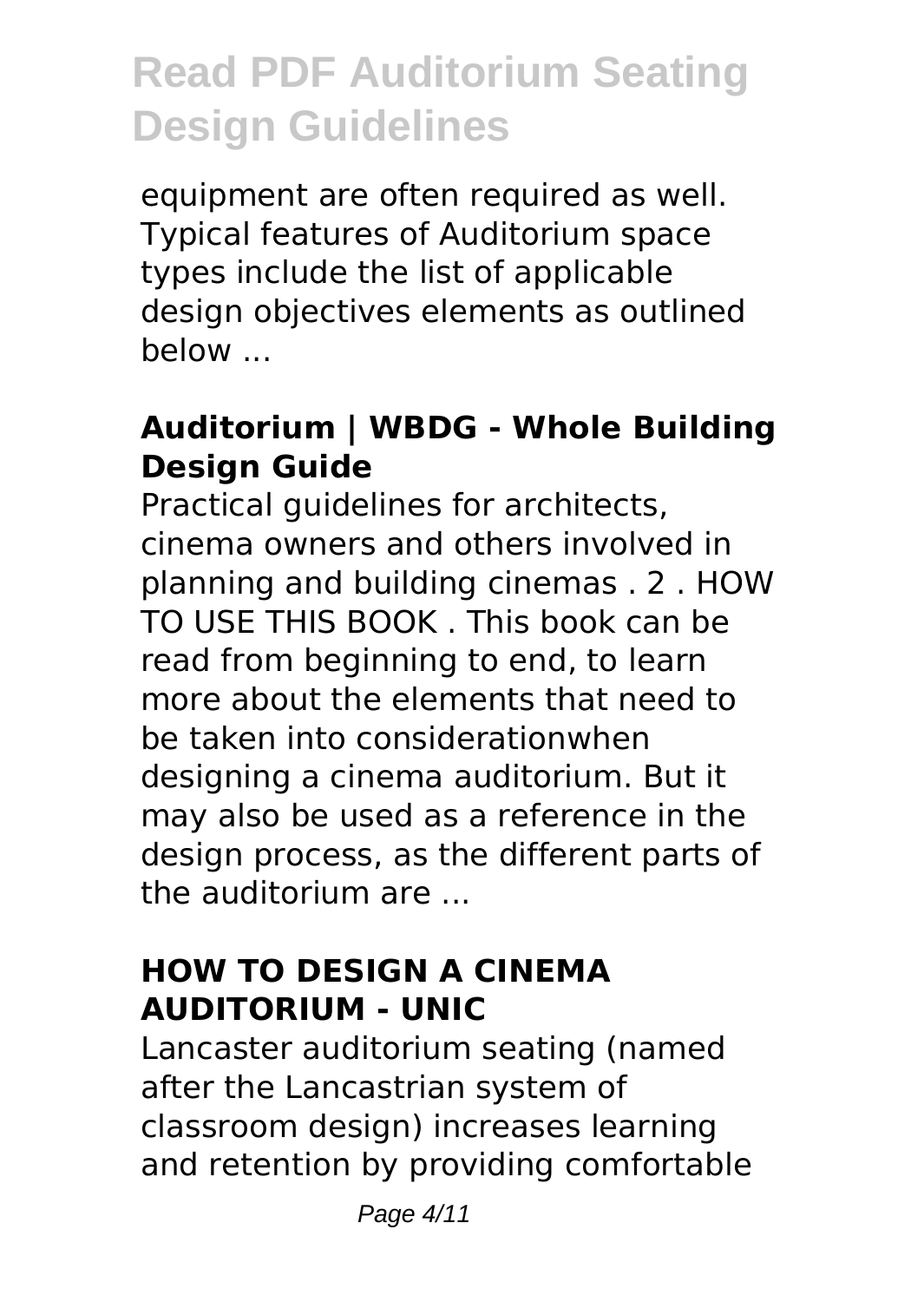equipment are often required as well. Typical features of Auditorium space types include the list of applicable design objectives elements as outlined below ...

#### **Auditorium | WBDG - Whole Building Design Guide**

Practical guidelines for architects, cinema owners and others involved in planning and building cinemas . 2 . HOW TO USE THIS BOOK . This book can be read from beginning to end, to learn more about the elements that need to be taken into considerationwhen designing a cinema auditorium. But it may also be used as a reference in the design process, as the different parts of the auditorium are ...

#### **HOW TO DESIGN A CINEMA AUDITORIUM - UNIC**

Lancaster auditorium seating (named after the Lancastrian system of classroom design) increases learning and retention by providing comfortable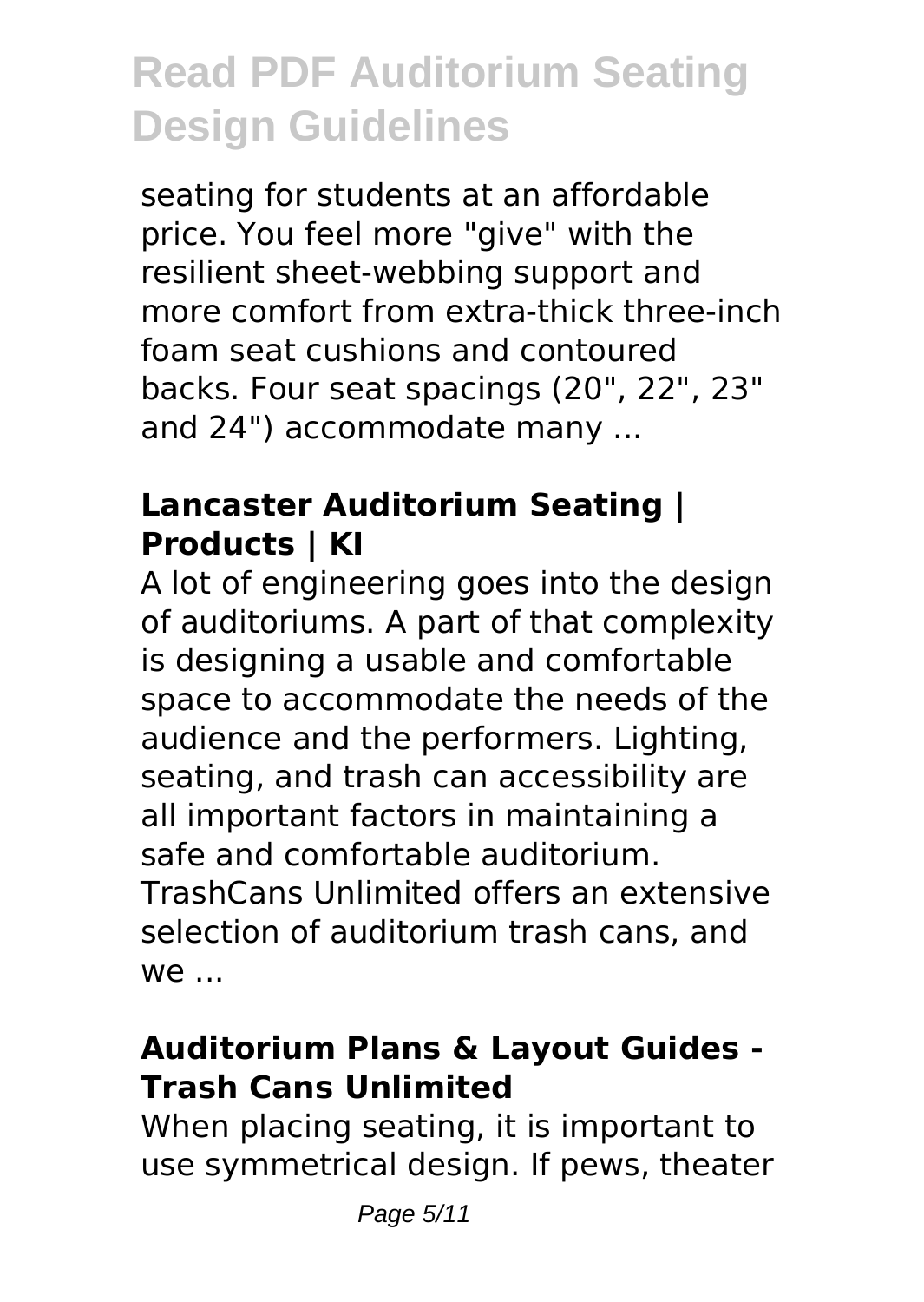seating for students at an affordable price. You feel more "give" with the resilient sheet-webbing support and more comfort from extra-thick three-inch foam seat cushions and contoured backs. Four seat spacings (20", 22", 23" and 24") accommodate many ...

### **Lancaster Auditorium Seating | Products | KI**

A lot of engineering goes into the design of auditoriums. A part of that complexity is designing a usable and comfortable space to accommodate the needs of the audience and the performers. Lighting, seating, and trash can accessibility are all important factors in maintaining a safe and comfortable auditorium. TrashCans Unlimited offers an extensive selection of auditorium trash cans, and  $W \cap$ 

#### **Auditorium Plans & Layout Guides - Trash Cans Unlimited**

When placing seating, it is important to use symmetrical design. If pews, theater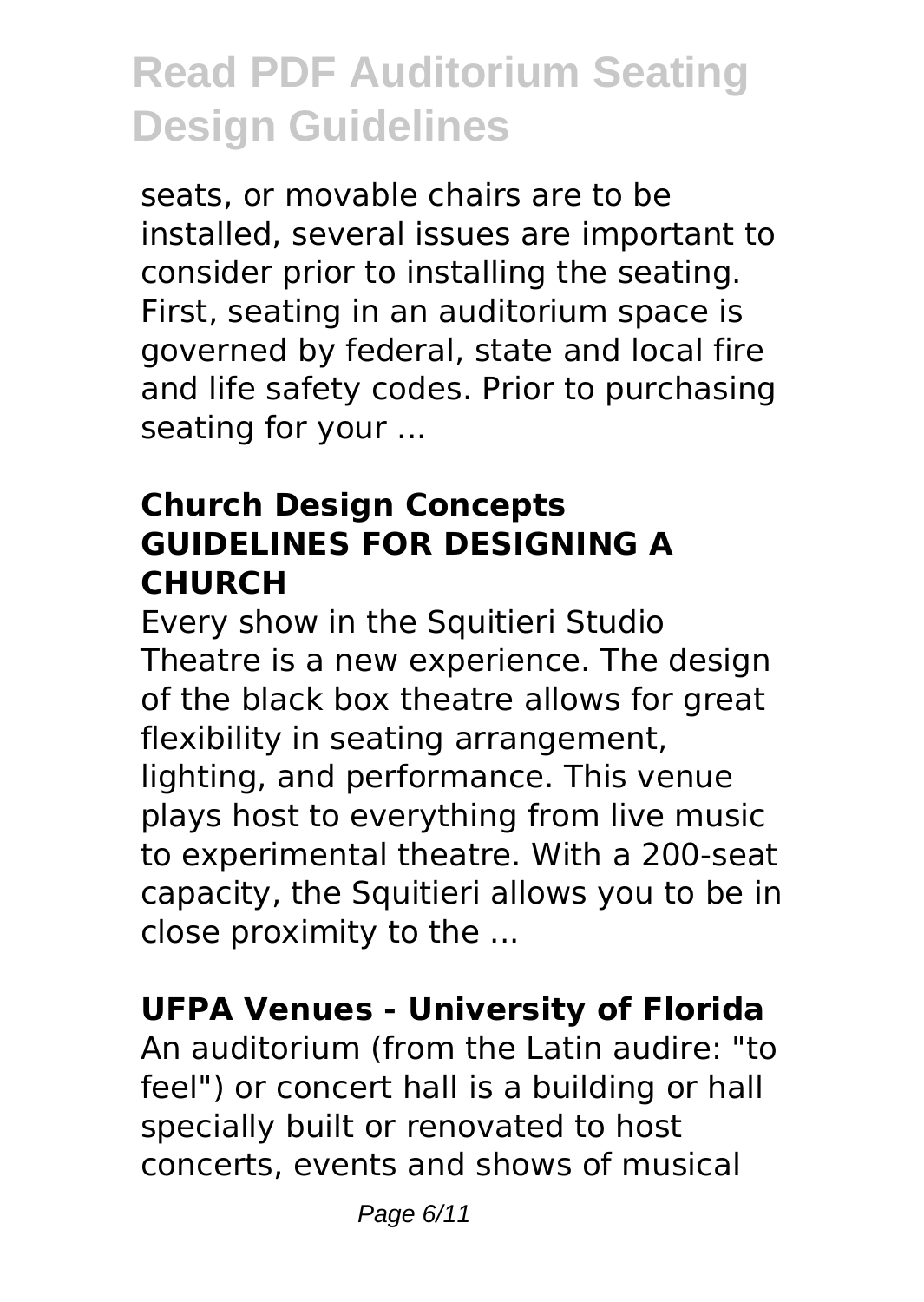seats, or movable chairs are to be installed, several issues are important to consider prior to installing the seating. First, seating in an auditorium space is governed by federal, state and local fire and life safety codes. Prior to purchasing seating for your ...

### **Church Design Concepts GUIDELINES FOR DESIGNING A CHURCH**

Every show in the Squitieri Studio Theatre is a new experience. The design of the black box theatre allows for great flexibility in seating arrangement, lighting, and performance. This venue plays host to everything from live music to experimental theatre. With a 200-seat capacity, the Squitieri allows you to be in close proximity to the ...

### **UFPA Venues - University of Florida**

An auditorium (from the Latin audire: "to feel") or concert hall is a building or hall specially built or renovated to host concerts, events and shows of musical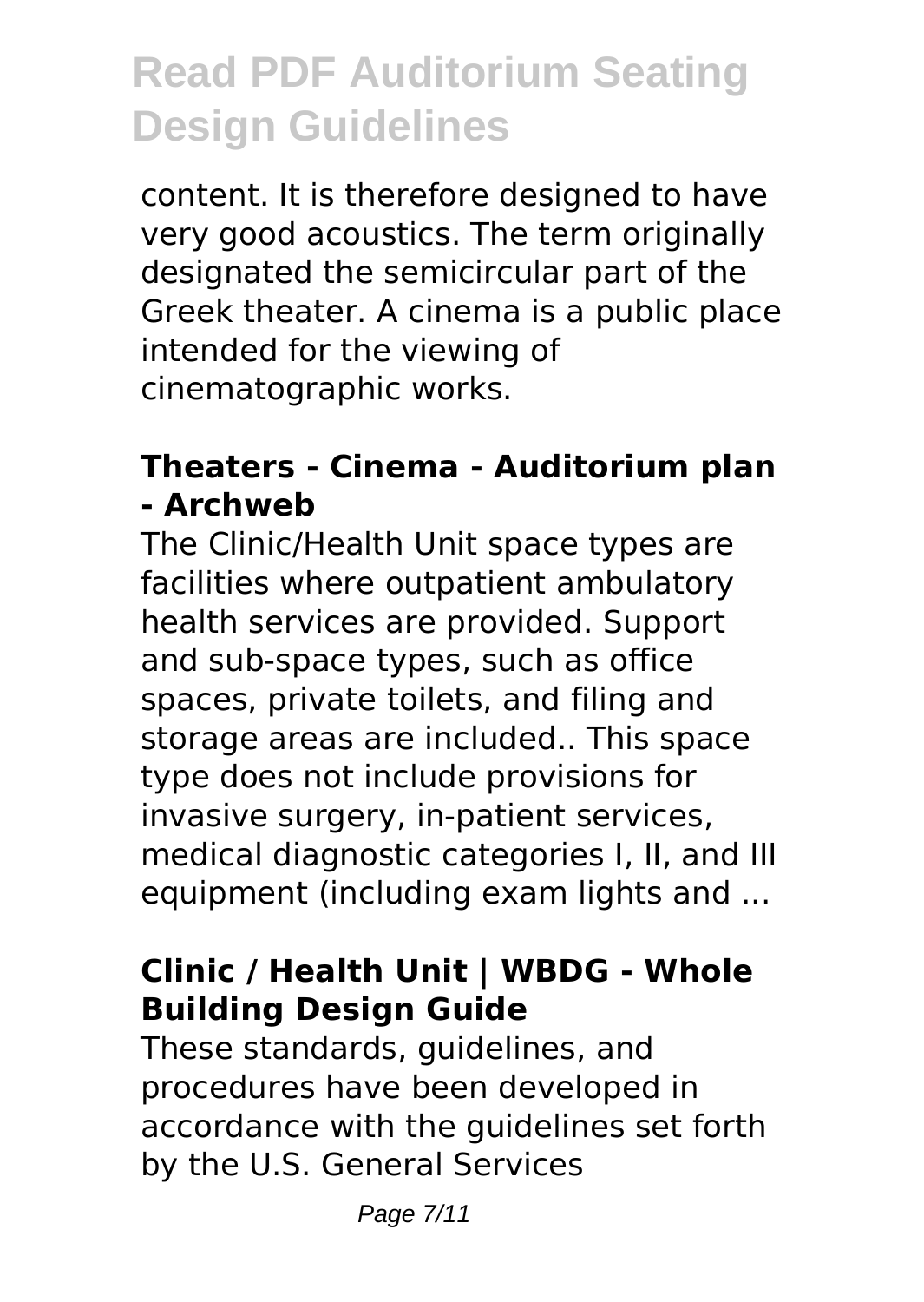content. It is therefore designed to have very good acoustics. The term originally designated the semicircular part of the Greek theater. A cinema is a public place intended for the viewing of cinematographic works.

### **Theaters - Cinema - Auditorium plan - Archweb**

The Clinic/Health Unit space types are facilities where outpatient ambulatory health services are provided. Support and sub-space types, such as office spaces, private toilets, and filing and storage areas are included.. This space type does not include provisions for invasive surgery, in-patient services, medical diagnostic categories I, II, and III equipment (including exam lights and ...

### **Clinic / Health Unit | WBDG - Whole Building Design Guide**

These standards, guidelines, and procedures have been developed in accordance with the guidelines set forth by the U.S. General Services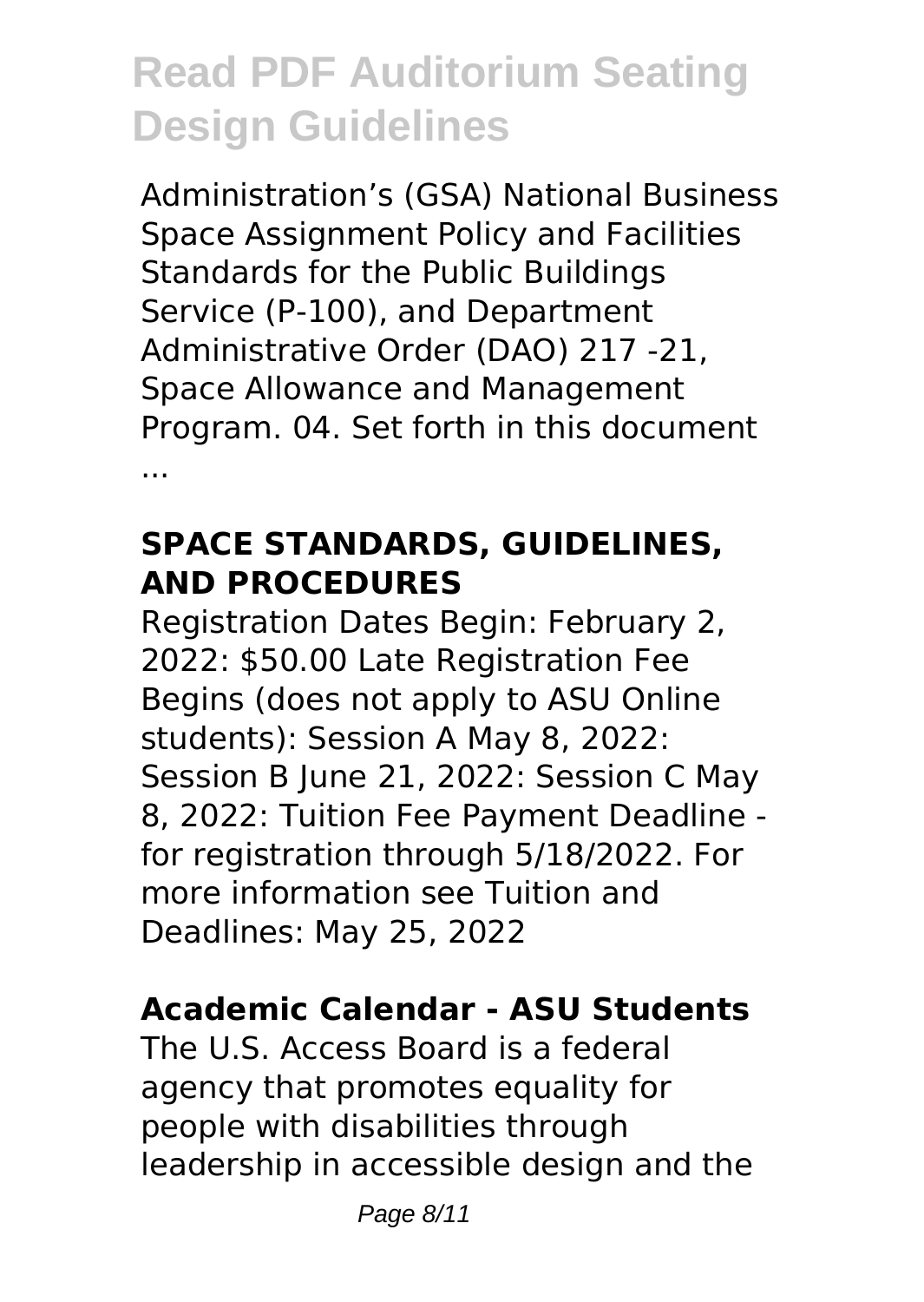Administration's (GSA) National Business Space Assignment Policy and Facilities Standards for the Public Buildings Service (P-100), and Department Administrative Order (DAO) 217 -21, Space Allowance and Management Program. 04. Set forth in this document ...

#### **SPACE STANDARDS, GUIDELINES, AND PROCEDURES**

Registration Dates Begin: February 2, 2022: \$50.00 Late Registration Fee Begins (does not apply to ASU Online students): Session A May 8, 2022: Session B June 21, 2022: Session C May 8, 2022: Tuition Fee Payment Deadline for registration through 5/18/2022. For more information see Tuition and Deadlines: May 25, 2022

### **Academic Calendar - ASU Students**

The U.S. Access Board is a federal agency that promotes equality for people with disabilities through leadership in accessible design and the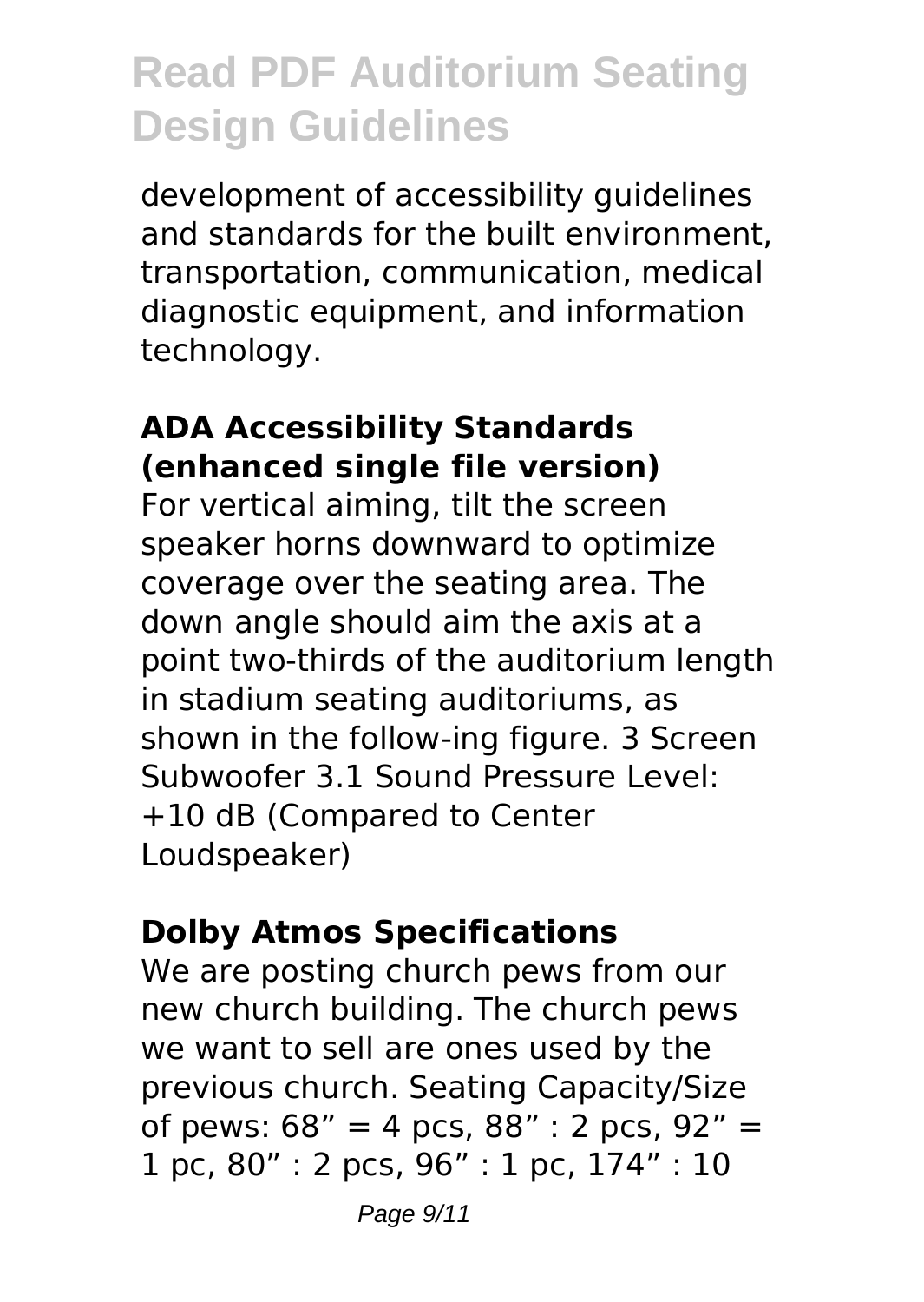development of accessibility guidelines and standards for the built environment, transportation, communication, medical diagnostic equipment, and information technology.

#### **ADA Accessibility Standards (enhanced single file version)**

For vertical aiming, tilt the screen speaker horns downward to optimize coverage over the seating area. The down angle should aim the axis at a point two-thirds of the auditorium length in stadium seating auditoriums, as shown in the follow-ing figure. 3 Screen Subwoofer 3.1 Sound Pressure Level: +10 dB (Compared to Center Loudspeaker)

#### **Dolby Atmos Specifications**

We are posting church pews from our new church building. The church pews we want to sell are ones used by the previous church. Seating Capacity/Size of pews:  $68'' = 4$  pcs,  $88'' : 2$  pcs,  $92'' =$ 1 pc, 80" : 2 pcs, 96" : 1 pc, 174" : 10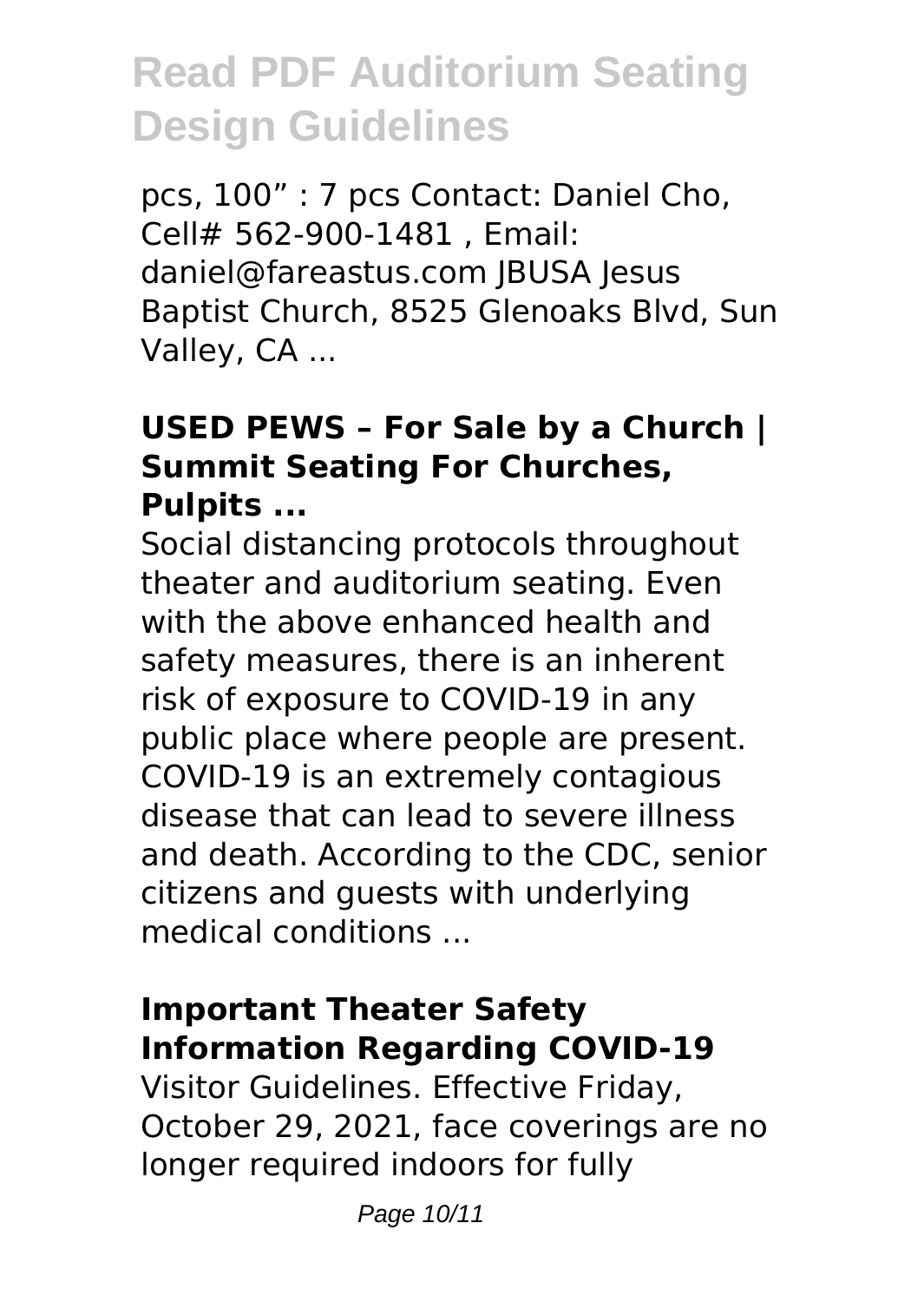pcs, 100" : 7 pcs Contact: Daniel Cho, Cell# 562-900-1481 , Email: daniel@fareastus.com JBUSA Jesus Baptist Church, 8525 Glenoaks Blvd, Sun Valley, CA ...

### **USED PEWS – For Sale by a Church | Summit Seating For Churches, Pulpits ...**

Social distancing protocols throughout theater and auditorium seating. Even with the above enhanced health and safety measures, there is an inherent risk of exposure to COVID-19 in any public place where people are present. COVID-19 is an extremely contagious disease that can lead to severe illness and death. According to the CDC, senior citizens and guests with underlying medical conditions ...

#### **Important Theater Safety Information Regarding COVID-19**

Visitor Guidelines. Effective Friday, October 29, 2021, face coverings are no longer required indoors for fully

Page 10/11